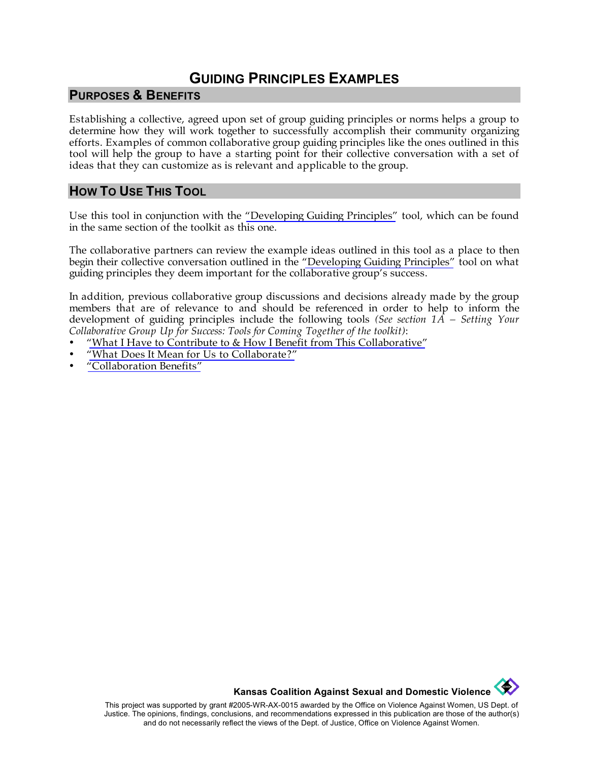## **GUIDING PRINCIPLES EXAMPLES**

#### **PURPOSES & BENEFITS**

Establishing a collective, agreed upon set of group guiding principles or norms helps a group to determine how they will work together to successfully accomplish their community organizing efforts. Examples of common collaborative group guiding principles like the ones outlined in this tool will help the group to have a starting point for their collective conversation with a set of ideas that they can customize as is relevant and applicable to the group.

### **HOW TO USE THIS TOOL**

Use this tool in conjunction with the ["Developing Guiding Principles"](http://www.kcsdv.org/toolkit/commorgtoolkit.html#DevelopingGuidingPrinciples) tool, which can be found in the same section of the toolkit as this one.

The collaborative partners can review the example ideas outlined in this tool as a place to then begin their collective conversation outlined in the ["Developing Guiding Principles"](http://www.kcsdv.org/toolkit/commorgtoolkit.html#DevelopingGuidingPrinciples) tool on what guiding principles they deem important for the collaborative group's success.

In addition, previous collaborative group discussions and decisions already made by the group members that are of relevance to and should be referenced in order to help to inform the development of guiding principles include the following tools *(See section 1A – Setting Your Collaborative Group Up for Success: Tools for Coming Together of the toolkit)*:

- ["What I Have to Contribute to & How I Benefit from This Collaborative"](http://www.kcsdv.org/toolkit/commorgtoolkit.html#ContributeandBenefit)
- ["What Does It Mean for Us to Collaborate?"](http://www.kcsdv.org/toolkit/commorgtoolkit.html#Collaborate)
- ["Collaboration Benefits"](http://www.kcsdv.org/toolkit/commorgtoolkit.html#CollaborationBenefits)

**Kansas Coalition Against Sexual and Domestic Violence** 

 $\left\langle \frac{d\mathbf{r}}{d\mathbf{r}}\right\rangle$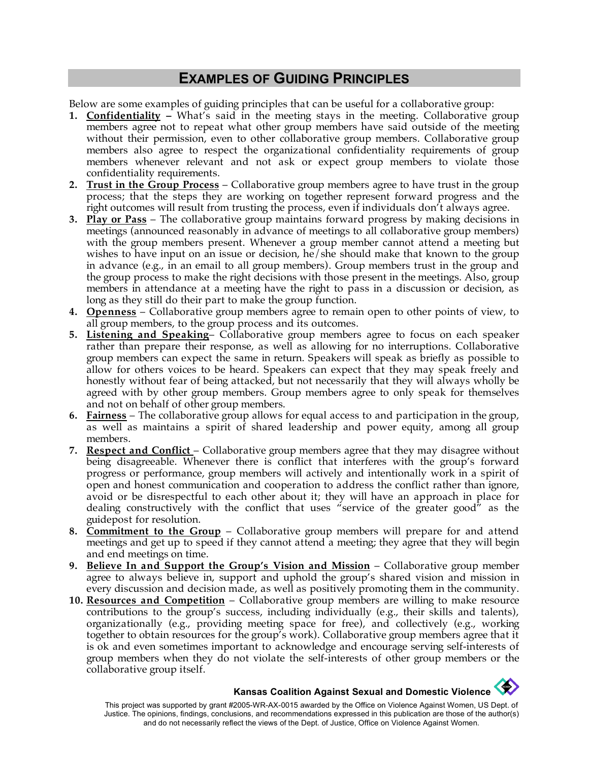## **EXAMPLES OF GUIDING PRINCIPLES**

Below are some examples of guiding principles that can be useful for a collaborative group:

- **1. Confidentiality –** What's said in the meeting stays in the meeting. Collaborative group members agree not to repeat what other group members have said outside of the meeting without their permission, even to other collaborative group members. Collaborative group members also agree to respect the organizational confidentiality requirements of group members whenever relevant and not ask or expect group members to violate those confidentiality requirements.
- **2. Trust in the Group Process** Collaborative group members agree to have trust in the group process; that the steps they are working on together represent forward progress and the right outcomes will result from trusting the process, even if individuals don't always agree.
- **3. Play or Pass** The collaborative group maintains forward progress by making decisions in meetings (announced reasonably in advance of meetings to all collaborative group members) with the group members present. Whenever a group member cannot attend a meeting but wishes to have input on an issue or decision, he/she should make that known to the group in advance (e.g., in an email to all group members). Group members trust in the group and the group process to make the right decisions with those present in the meetings. Also, group members in attendance at a meeting have the right to pass in a discussion or decision, as long as they still do their part to make the group function.
- **4. Openness** Collaborative group members agree to remain open to other points of view, to all group members, to the group process and its outcomes.
- **5. Listening and Speaking** Collaborative group members agree to focus on each speaker rather than prepare their response, as well as allowing for no interruptions. Collaborative group members can expect the same in return. Speakers will speak as briefly as possible to allow for others voices to be heard. Speakers can expect that they may speak freely and honestly without fear of being attacked, but not necessarily that they will always wholly be agreed with by other group members. Group members agree to only speak for themselves and not on behalf of other group members.
- **6. Fairness** The collaborative group allows for equal access to and participation in the group, as well as maintains a spirit of shared leadership and power equity, among all group members.
- **7. Respect and Conflict** Collaborative group members agree that they may disagree without being disagreeable. Whenever there is conflict that interferes with the group's forward progress or performance, group members will actively and intentionally work in a spirit of open and honest communication and cooperation to address the conflict rather than ignore, avoid or be disrespectful to each other about it; they will have an approach in place for dealing constructively with the conflict that uses "service of the greater good" as the guidepost for resolution.
- **8. Commitment to the Group** Collaborative group members will prepare for and attend meetings and get up to speed if they cannot attend a meeting; they agree that they will begin and end meetings on time.
- **9. Believe In and Support the Group's Vision and Mission** Collaborative group member agree to always believe in, support and uphold the group's shared vision and mission in every discussion and decision made, as well as positively promoting them in the community.
- **10. Resources and Competition** Collaborative group members are willing to make resource contributions to the group's success, including individually (e.g., their skills and talents), organizationally (e.g., providing meeting space for free), and collectively (e.g., working together to obtain resources for the group's work). Collaborative group members agree that it is ok and even sometimes important to acknowledge and encourage serving self-interests of group members when they do not violate the self-interests of other group members or the collaborative group itself.

# **Kansas Coalition Against Sexual and Domestic Violence**

This project was supported by grant #2005-WR-AX-0015 awarded by the Office on Violence Against Women, US Dept. of Justice. The opinions, findings, conclusions, and recommendations expressed in this publication are those of the author(s) and do not necessarily reflect the views of the Dept. of Justice, Office on Violence Against Women.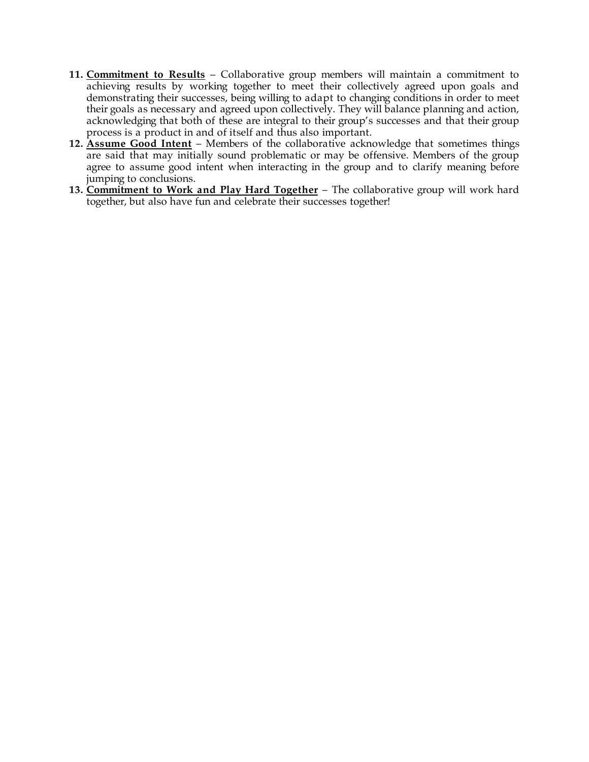- **11. Commitment to Results** Collaborative group members will maintain a commitment to achieving results by working together to meet their collectively agreed upon goals and demonstrating their successes, being willing to adapt to changing conditions in order to meet their goals as necessary and agreed upon collectively. They will balance planning and action, acknowledging that both of these are integral to their group's successes and that their group process is a product in and of itself and thus also important.
- **12. Assume Good Intent** Members of the collaborative acknowledge that sometimes things are said that may initially sound problematic or may be offensive. Members of the group agree to assume good intent when interacting in the group and to clarify meaning before jumping to conclusions.
- **13. Commitment to Work and Play Hard Together** The collaborative group will work hard together, but also have fun and celebrate their successes together!